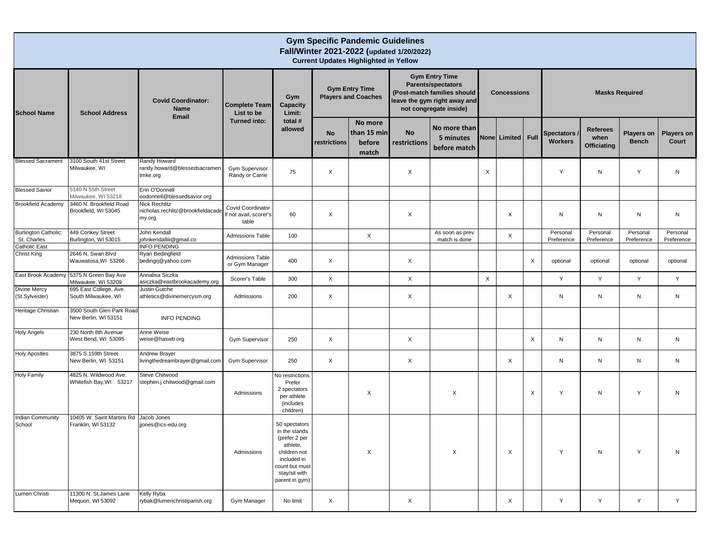| <b>Gym Specific Pandemic Guidelines</b><br>Fall/Winter 2021-2022 (updated 1/20/2022)<br><b>Current Updates Highlighted in Yellow</b> |                                                                                              |                                                                                                                      |                                                    |                                                                                                                                                 |                           |                                                                                                                                                                                                                          |                           |                                           |   |              |      |                                |                                               |                                   |                        |
|--------------------------------------------------------------------------------------------------------------------------------------|----------------------------------------------------------------------------------------------|----------------------------------------------------------------------------------------------------------------------|----------------------------------------------------|-------------------------------------------------------------------------------------------------------------------------------------------------|---------------------------|--------------------------------------------------------------------------------------------------------------------------------------------------------------------------------------------------------------------------|---------------------------|-------------------------------------------|---|--------------|------|--------------------------------|-----------------------------------------------|-----------------------------------|------------------------|
| <b>School Name</b>                                                                                                                   | <b>School Address</b>                                                                        | <b>Covid Coordinator:</b><br><b>Name</b>                                                                             | <b>Complete Team</b><br>List to be                 | Gym<br>Capacity<br>Limit:                                                                                                                       |                           | <b>Gym Entry Time</b><br><b>Parents/spectators</b><br><b>Gym Entry Time</b><br>(Post-match families should<br><b>Concessions</b><br><b>Players and Coaches</b><br>leave the gym right away and<br>not congregate inside) |                           |                                           |   |              |      | <b>Masks Required</b>          |                                               |                                   |                        |
|                                                                                                                                      |                                                                                              | <b>Email</b>                                                                                                         | <b>Turned into:</b>                                | total #<br>allowed                                                                                                                              | <b>No</b><br>restrictions | No more<br>than 15 min<br>before<br>match                                                                                                                                                                                | <b>No</b><br>restrictions | No more than<br>5 minutes<br>before match |   | None Limited | Full | Spectators /<br><b>Workers</b> | <b>Referees</b><br>when<br><b>Officiating</b> | <b>Players on</b><br><b>Bench</b> | Players on<br>Court    |
| <b>Blessed Sacrament</b>                                                                                                             | 3100 South 41st Street<br>Milwaukee, WI                                                      | Randy Howard<br>randy.howard@blessedsacramen<br>tmke.org                                                             | Gym Supervisor<br>Randy or Carrie                  | 75                                                                                                                                              | X                         |                                                                                                                                                                                                                          | $\times$                  |                                           | X |              |      | Y                              | $\mathsf{N}$                                  | Υ                                 | N                      |
| <b>Blessed Savior</b><br><b>Brookfield Academy</b>                                                                                   | 5140 N 55th Street<br>Milwaukee, WI 53218<br>3460 N. Brookfield Road<br>Brookfield, WI 53045 | Erin O'Donnell<br>eodonnell@blessedsavior.org<br><b>Nick Rechlitz</b><br>nicholas.rechlitz@brookfieldacade<br>my.org | <b>Covid Coordinator</b><br>If not avail, scorer's | 60                                                                                                                                              | X                         |                                                                                                                                                                                                                          | $\times$                  |                                           |   | X            |      | N                              | N                                             | N                                 | N                      |
| Burlington Catholic:<br>St. Charles                                                                                                  | 449 Conkey Street<br>Burlington, WI 53015                                                    | John Kendall<br>johnkendalliii@gmail.co                                                                              | table<br><b>Admissions Table</b>                   | 100                                                                                                                                             |                           | X                                                                                                                                                                                                                        |                           | As soon as prev<br>match is done          |   | X            |      | Personal<br>Preference         | Personal<br>Preference                        | Personal<br>Preference            | Personal<br>Preference |
| <b>Catholic East</b><br><b>Christ King</b>                                                                                           | 2646 N. Swan Blvd<br>Wauwatosa.WI 53266                                                      | <b>INFO PENDING</b><br>Ryan Bedingfield<br>bedingrj@yahoo.com                                                        | <b>Admissions Table</b><br>or Gym Manager          | 400                                                                                                                                             | X                         |                                                                                                                                                                                                                          | $\times$                  |                                           |   |              | X    | optional                       | optional                                      | optional                          | optional               |
|                                                                                                                                      | East Brook Academy 5375 N Green Bay Ave<br>Milwaukee, WI 53209                               | Annalisa Siczka<br>asiczka@eastbrookacademy.org                                                                      | Scorer's Table                                     | 300                                                                                                                                             | X                         |                                                                                                                                                                                                                          | $\boldsymbol{\mathsf{X}}$ |                                           | X |              |      | Y                              | Y                                             | Y                                 | Y                      |
| <b>Divine Mercy</b><br>(St.Sylvester)                                                                                                | 695 East College, Ave.<br>South Milwaukee, WI                                                | Justin Gutche<br>athletics@divinemercysm.org                                                                         | Admissions                                         | 200                                                                                                                                             | X                         |                                                                                                                                                                                                                          | $\times$                  |                                           |   | X            |      | N                              | N                                             | Ν                                 | N                      |
| Heritage Christian                                                                                                                   | 3500 South Glen Park Road<br>New Berlin, WI 53151                                            | <b>INFO PENDING</b>                                                                                                  |                                                    |                                                                                                                                                 |                           |                                                                                                                                                                                                                          |                           |                                           |   |              |      |                                |                                               |                                   |                        |
| <b>Holy Angels</b>                                                                                                                   | 230 North 8th Avenue<br>West Bend, WI 53095                                                  | Anne Weise<br>weise@haswb.org                                                                                        | Gym Supervisor                                     | 250                                                                                                                                             | X                         |                                                                                                                                                                                                                          | X                         |                                           |   |              | X    | N                              | N                                             | N                                 | N                      |
| <b>Holy Apostles</b>                                                                                                                 | 3875 S.159th Street<br>New Berlin, WI 53151                                                  | Andrew Brayer<br>livingthedreambrayer@gmail.com                                                                      | Gym Supervisor                                     | 250                                                                                                                                             | X                         |                                                                                                                                                                                                                          | $\times$                  |                                           |   | X            |      | N                              | N                                             | N                                 | N                      |
| <b>Holy Family</b>                                                                                                                   | 4825 N. Wildwood Ave.<br>Whitefish Bay, WI 53217                                             | Steve Chitwood<br>stephen.j.chitwood@gmail.com                                                                       | Admissions                                         | No restrictions.<br>Prefer<br>2 spectators<br>per athlete<br>(includes<br>children)                                                             |                           | X                                                                                                                                                                                                                        |                           | Χ                                         |   |              | X    | Y                              | $\mathsf{N}$                                  | Y                                 | N                      |
| <b>Indian Community</b><br>School                                                                                                    | 10405 W. Saint Martins Rd Jacob Jones<br>Franklin, WI 53132                                  | jjones@ics-edu.org                                                                                                   | Admissions                                         | 50 spectators<br>in the stands<br>(prefer 2 per<br>athlete,<br>children not<br>included in<br>count but must<br>stay/sit with<br>parent in gym) |                           | X                                                                                                                                                                                                                        |                           | X                                         |   | X            |      | Y                              | N                                             | Υ                                 | N                      |
| Lumen Christi                                                                                                                        | 11300 N. St.James Lane<br>Mequon, WI 53092                                                   | Kelly Ryba<br>rybak@lumenchristiparish.org                                                                           | Gym Manager                                        | No limit                                                                                                                                        | X                         |                                                                                                                                                                                                                          | X                         |                                           |   | X            |      | Y                              | Υ                                             | Υ                                 | Y                      |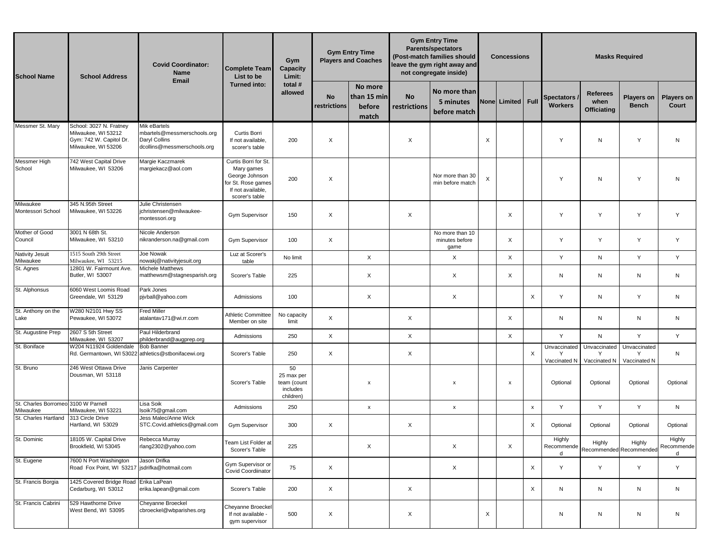| <b>School Name</b>                               | <b>School Address</b>                                                                            | <b>Covid Coordinator:</b><br>Name                                                           | <b>Complete Team</b><br>List to be                                                                                | <b>Gym Entry Time</b><br><b>Parents/spectators</b><br><b>Gym Entry Time</b><br>(Post-match families should<br><b>Concessions</b><br><b>Players and Coaches</b><br>Gym<br>leave the gym right away and<br>Capacity<br>not congregate inside)<br>Limit: |                           |                                           |                           |                                           |                           |                   |                           | <b>Masks Required</b>                 |                                               |                                   |                           |  |  |
|--------------------------------------------------|--------------------------------------------------------------------------------------------------|---------------------------------------------------------------------------------------------|-------------------------------------------------------------------------------------------------------------------|-------------------------------------------------------------------------------------------------------------------------------------------------------------------------------------------------------------------------------------------------------|---------------------------|-------------------------------------------|---------------------------|-------------------------------------------|---------------------------|-------------------|---------------------------|---------------------------------------|-----------------------------------------------|-----------------------------------|---------------------------|--|--|
|                                                  |                                                                                                  | Email                                                                                       | Turned into:                                                                                                      | total #<br>allowed                                                                                                                                                                                                                                    | No<br>restrictions        | No more<br>than 15 min<br>before<br>match | <b>No</b><br>restrictions | No more than<br>5 minutes<br>before match |                           | None Limited Full |                           | <b>Spectators</b> /<br><b>Workers</b> | <b>Referees</b><br>when<br><b>Officiating</b> | <b>Players on</b><br><b>Bench</b> | Players on<br>Court       |  |  |
| Messmer St. Mary                                 | School: 3027 N. Fratney<br>Milwaukee, WI 53212<br>Gym: 742 W. Capitol Dr.<br>Milwaukee, WI 53206 | Mik eBartels<br>mbartels@messmerschools.org<br>Daryl Collins<br>dcollins@messmerschools.org | Curtis Borri<br>If not available.<br>scorer's table                                                               | 200                                                                                                                                                                                                                                                   | $\times$                  |                                           | X                         |                                           | $\times$                  |                   |                           | Y                                     | N                                             | Y                                 | ${\sf N}$                 |  |  |
| Messmer High<br>School                           | 742 West Capital Drive<br>Milwaukee, WI 53206                                                    | Margie Kaczmarek<br>margiekacz@aol.com                                                      | Curtis Borri for St.<br>Mary games<br>George Johnson<br>for St. Rose games<br>If not available,<br>scorer's table | 200                                                                                                                                                                                                                                                   | $\times$                  |                                           |                           | Nor more than 30<br>min before match      | $\boldsymbol{\mathsf{X}}$ |                   |                           | Y                                     | $\mathsf{N}$                                  | Y                                 | ${\sf N}$                 |  |  |
| Milwaukee<br>Montessori School                   | 345 N.95th Street<br>Milwaukee, WI 53226                                                         | Julie Christensen<br>jchristensen@milwaukee-<br>montessori.org                              | <b>Gym Supervisor</b>                                                                                             | 150                                                                                                                                                                                                                                                   | X                         |                                           | X                         |                                           |                           | Χ                 |                           | Y                                     | Y                                             | Y                                 | Y                         |  |  |
| Mother of Good<br>Council                        | 3001 N 68th St.<br>Milwaukee, WI 53210                                                           | Nicole Anderson<br>nikranderson.na@gmail.com                                                | Gym Supervisor                                                                                                    | 100                                                                                                                                                                                                                                                   | X                         |                                           |                           | No more than 10<br>minutes before<br>game |                           | X                 |                           | Y                                     | Y                                             | Y                                 | Y                         |  |  |
| Nativity Jesuit<br>Milwaukee                     | 1515 South 29th Street<br>Milwaukee, WI 53215                                                    | Joe Nowak<br>nowakj@nativityjesuit.org                                                      | Luz at Scorer's<br>table                                                                                          | No limit                                                                                                                                                                                                                                              |                           | X                                         |                           | $\times$                                  |                           | X                 |                           | Y                                     | N                                             | Y                                 | Y                         |  |  |
| St. Agnes                                        | 12801 W. Fairmount Ave.<br>Butler, WI 53007                                                      | Michele Matthews<br>matthewsm@stagnesparish.org                                             | Scorer's Table                                                                                                    | 225                                                                                                                                                                                                                                                   |                           | X                                         |                           | X                                         |                           | X                 |                           | N                                     | N                                             | N                                 | $\mathsf{N}$              |  |  |
| St. Alphonsus                                    | 6060 West Loomis Road<br>Greendale, WI 53129                                                     | Park Jones<br>pjvball@yahoo.com                                                             | Admissions                                                                                                        | 100                                                                                                                                                                                                                                                   |                           | X                                         |                           | X                                         |                           |                   | X                         | Y                                     | N                                             | Y                                 | $\mathsf{N}$              |  |  |
| St. Anthony on the<br>Lake                       | W280 N2101 Hwy SS<br>Pewaukee, WI 53072                                                          | <b>Fred Miller</b><br>atalantav171@wi.rr.com                                                | <b>Athletic Committee</b><br>Member on site                                                                       | No capacity<br>limit                                                                                                                                                                                                                                  | $\boldsymbol{\mathsf{X}}$ |                                           | X                         |                                           |                           | X                 |                           | N                                     | N                                             | N                                 | $\mathsf{N}$              |  |  |
| St. Augustine Prep                               | 2607 S 5th Street<br>Milwaukee, WI 53207                                                         | Paul Hilderbrand<br>philderbrand@augprep.org                                                | Admissions                                                                                                        | 250                                                                                                                                                                                                                                                   | X                         |                                           | X                         |                                           |                           | X                 |                           | Y                                     | N                                             | Y                                 | Y                         |  |  |
| St. Boniface                                     | W204 N11924 Goldendale<br>Rd. Germantown, WI 53022                                               | <b>Bob Banner</b><br>athletics@stbonifacewi.org                                             | Scorer's Table                                                                                                    | 250                                                                                                                                                                                                                                                   | X                         |                                           | X                         |                                           |                           |                   | $\boldsymbol{\mathsf{X}}$ | Unvaccinated<br>Y<br>Vaccinated N     | Unvaccinated<br>Y<br>Vaccinated N             | Unvaccinated<br>Y<br>Vaccinated N | ${\sf N}$                 |  |  |
| St. Bruno                                        | 246 West Ottawa Drive<br>Dousman, WI 53118                                                       | Janis Carpenter                                                                             | Scorer's Table                                                                                                    | 50<br>25 max per<br>team (count<br>includes<br>children)                                                                                                                                                                                              |                           | $\boldsymbol{\mathsf{x}}$                 |                           | X                                         |                           | x                 |                           | Optional                              | Optional                                      | Optional                          | Optional                  |  |  |
| St. Charles Borromeo 3100 W Parnell<br>Milwaukee | Milwaukee, WI 53221                                                                              | Lisa Soik<br>lsoik75@gmail.com                                                              | Admissions                                                                                                        | 250                                                                                                                                                                                                                                                   |                           | $\pmb{\mathsf{x}}$                        |                           | X                                         |                           |                   | $\pmb{\mathsf{x}}$        | Y                                     | Y                                             | Y                                 | ${\sf N}$                 |  |  |
| St. Charles Hartland                             | 313 Circle Drive<br>Hartland, WI 53029                                                           | Jess Malec/Anne Wick<br>STC.Covid.athletics@qmail.com                                       | <b>Gym Supervisor</b>                                                                                             | 300                                                                                                                                                                                                                                                   | X                         |                                           | X                         |                                           |                           |                   | X                         | Optional                              | Optional                                      | Optional                          | Optional                  |  |  |
| St. Dominic                                      | 18105 W. Capital Drive<br>Brookfield, WI 53045                                                   | Rebecca Murray<br>rlang2302@yahoo.com                                                       | Team List Folder at<br>Scorer's Table                                                                             | 225                                                                                                                                                                                                                                                   |                           | X                                         |                           | $\boldsymbol{\mathsf{X}}$                 |                           | X                 |                           | Highly<br>Recommende<br>d             | Highly                                        | Highly<br>Recommended Recommended | Highly<br>Recommende<br>d |  |  |
| St. Eugene                                       | 7600 N Port Washington<br>Road Fox Point, WI 53217 jsdrifka@hotmail.com                          | Jason Drifka                                                                                | Gym Supervisor or<br>Covid Coordiinator                                                                           | 75                                                                                                                                                                                                                                                    | X                         |                                           |                           | $\boldsymbol{\mathsf{X}}$                 |                           |                   | X                         | Y                                     | Y                                             | Y                                 | Y                         |  |  |
| St. Francis Borgia                               | 1425 Covered Bridge Road<br>Cedarburg, WI 53012                                                  | Erika LaPean<br>erika.lapean@gmail.com                                                      | Scorer's Table                                                                                                    | 200                                                                                                                                                                                                                                                   | X                         |                                           | X                         |                                           |                           |                   | X                         | N                                     | N                                             | N                                 | N                         |  |  |
| St. Francis Cabrini                              | 529 Hawthorne Drive<br>West Bend, WI 53095                                                       | Cheyanne Broeckel<br>cbroeckel@wbparishes.org                                               | Cheyanne Broeckel<br>If not available -<br>gym supervisor                                                         | 500                                                                                                                                                                                                                                                   | X                         |                                           | X                         |                                           | X                         |                   |                           | N                                     | N                                             | N                                 | N                         |  |  |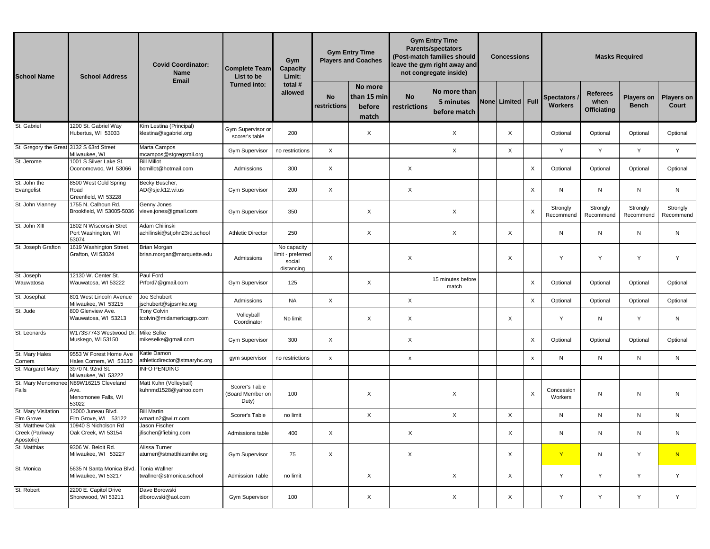| <b>School Name</b>                                     | <b>School Address</b>                                       | <b>Covid Coordinator:</b><br><b>Name</b>                     | <b>Gym Entry Time</b><br><b>Parents/spectators</b><br><b>Gym Entry Time</b><br>(Post-match families should<br><b>Players and Coaches</b><br>Gym<br>leave the gym right away and<br><b>Complete Team</b><br>Capacity<br>not congregate inside)<br>List to be<br>Limit:<br><b>Email</b> |                                                        |                           |                                           |                           |                                           | <b>Concessions</b> |                    | <b>Masks Required</b>        |                                               |                            |                            |  |
|--------------------------------------------------------|-------------------------------------------------------------|--------------------------------------------------------------|---------------------------------------------------------------------------------------------------------------------------------------------------------------------------------------------------------------------------------------------------------------------------------------|--------------------------------------------------------|---------------------------|-------------------------------------------|---------------------------|-------------------------------------------|--------------------|--------------------|------------------------------|-----------------------------------------------|----------------------------|----------------------------|--|
|                                                        |                                                             |                                                              | <b>Turned into:</b>                                                                                                                                                                                                                                                                   | total #<br>allowed                                     | <b>No</b><br>restrictions | No more<br>than 15 min<br>before<br>match | <b>No</b><br>restrictions | No more than<br>5 minutes<br>before match | None Limited Full  |                    | Spectators<br><b>Workers</b> | <b>Referees</b><br>when<br><b>Officiating</b> | Players on<br><b>Bench</b> | <b>Players on</b><br>Court |  |
| St. Gabriel                                            | 1200 St. Gabriel Way<br>Hubertus, WI 53033                  | Kim Lestina (Principal)<br>klestina@sgabriel.org             | Gym Supervisor or<br>scorer's table                                                                                                                                                                                                                                                   | 200                                                    |                           | $\boldsymbol{\mathsf{X}}$                 |                           | $\times$                                  | $\times$           |                    | Optional                     | Optional                                      | Optional                   | Optional                   |  |
| St. Gregory the Great 3132 S 63rd Street<br>St. Jerome | Milwaukee, WI<br>1001 S Silver Lake St.                     | Marta Campos<br>mcampos@stgregsmil.org<br><b>Bill Millot</b> | <b>Gym Supervisor</b>                                                                                                                                                                                                                                                                 | no restrictions                                        | X                         |                                           |                           | X                                         | $\times$           |                    | Y                            | Y                                             | Y                          | Y                          |  |
|                                                        | Oconomowoc, WI 53066                                        | bcmillot@hotmail.com                                         | Admissions                                                                                                                                                                                                                                                                            | 300                                                    | X                         |                                           | X                         |                                           |                    | X                  | Optional                     | Optional                                      | Optional                   | Optional                   |  |
| St. John the<br>Evangelist                             | 8500 West Cold Spring<br>Road<br>Greenfield, WI 53228       | Becky Buscher,<br>AD@sje.k12.wi.us                           | <b>Gym Supervisor</b>                                                                                                                                                                                                                                                                 | 200                                                    | X                         |                                           | X                         |                                           |                    | X                  | N                            | N                                             | N                          | N                          |  |
| St. John Vianney                                       | 1755 N. Calhoun Rd.<br>Brookfield, WI 53005-5036            | Genny Jones<br>vieve.jones@gmail.com                         | Gym Supervisor                                                                                                                                                                                                                                                                        | 350                                                    |                           | $\boldsymbol{\mathsf{X}}$                 |                           | $\times$                                  |                    | X                  | Strongly<br>Recommend        | Strongly<br>Recommend                         | Strongly<br>Recommend      | Strongly<br>Recommend      |  |
| St. John XIII                                          | 1802 N Wisconsin Stret<br>Port Washington, WI<br>53074      | Adam Chilinski<br>achilinski@stjohn23rd.school               | <b>Athletic Director</b>                                                                                                                                                                                                                                                              | 250                                                    |                           | X                                         |                           | $\times$                                  | $\times$           |                    | N                            | N                                             | N                          | N                          |  |
| St. Joseph Grafton                                     | 1619 Washington Street,<br>Grafton, WI 53024                | <b>Brian Morgan</b><br>brian.morgan@marquette.edu            | Admissions                                                                                                                                                                                                                                                                            | No capacity<br>mit - preferrec<br>social<br>distancing | X                         |                                           | X                         |                                           | $\times$           |                    | Y                            | Y                                             | Y                          | Y                          |  |
| St. Joseph<br>Wauwatosa                                | 12130 W. Center St.<br>Wauwatosa, WI 53222                  | Paul Ford<br>Prford7@gmail.com                               | <b>Gym Supervisor</b>                                                                                                                                                                                                                                                                 | 125                                                    |                           | $\times$                                  |                           | 15 minutes before<br>match                |                    | $\times$           | Optional                     | Optional                                      | Optional                   | Optional                   |  |
| St. Josephat                                           | 801 West Lincoln Avenue<br>Milwaukee, WI 53215              | Joe Schubert<br>jschubert@sjpsmke.org                        | Admissions                                                                                                                                                                                                                                                                            | <b>NA</b>                                              | X                         |                                           | X                         |                                           |                    | $\mathsf X$        | Optional                     | Optional                                      | Optional                   | Optional                   |  |
| St. Jude                                               | 800 Glenview Ave.<br>Wauwatosa, WI 53213                    | Tony Colvin<br>tcolvin@midamericagrp.com                     | Volleyball<br>Coordinator                                                                                                                                                                                                                                                             | No limit                                               |                           | $\times$                                  | X                         |                                           | $\times$           |                    | Y                            | N                                             | Y                          | N                          |  |
| St. Leonards                                           | W173S7743 Westwood Dr.<br>Muskego, WI 53150                 | Mike Selke<br>mikeselke@gmail.com                            | Gym Supervisor                                                                                                                                                                                                                                                                        | 300                                                    | X                         |                                           | X                         |                                           |                    | X                  | Optional                     | Optional                                      | Optional                   | Optional                   |  |
| St. Mary Hales<br>Corners                              | 9553 W Forest Home Ave<br>Hales Corners, WI 53130           | Katie Damon<br>athleticdirector@stmaryhc.org                 | gym supervisor                                                                                                                                                                                                                                                                        | no restrictions                                        | $\pmb{\mathsf{x}}$        |                                           | $\pmb{\times}$            |                                           |                    | $\pmb{\mathsf{x}}$ | N                            | N                                             | $\mathsf{N}$               | N                          |  |
| St. Margaret Mary                                      | 3970 N. 92nd St.<br>Milwaukee, WI 53222                     | <b>INFO PENDING</b>                                          |                                                                                                                                                                                                                                                                                       |                                                        |                           |                                           |                           |                                           |                    |                    |                              |                                               |                            |                            |  |
| St. Mary Menomone<br>Falls                             | N89W16215 Cleveland<br>Ave.<br>Menomonee Falls, WI<br>53022 | Matt Kuhn (Volleyball)<br>kuhnmd1528@yahoo.com               | Scorer's Table<br>(Board Member on<br>Duty)                                                                                                                                                                                                                                           | 100                                                    |                           | X                                         |                           | $\times$                                  |                    | X                  | Concession<br>Workers        | N                                             | N                          | N                          |  |
| St. Mary Visitation<br>Elm Grove                       | 13000 Juneau Blvd.<br>Elm Grove, WI 53122                   | <b>Bill Martin</b><br>wmartin2@wi.rr.com                     | Scorer's Table                                                                                                                                                                                                                                                                        | no limit                                               |                           | $\times$                                  |                           | $\times$                                  | $\times$           |                    | N                            | $\mathsf{N}$                                  | N                          | N                          |  |
| St. Matthew Oak<br>Creek (Parkway<br>Apostolic)        | 10940 S Nicholson Rd<br>Oak Creek, WI 53154                 | Jason Fischer<br>jfischer@fiebing.com                        | Admissions table                                                                                                                                                                                                                                                                      | 400                                                    | X                         |                                           | X                         |                                           | X                  |                    | N                            | N                                             | N                          | N                          |  |
| St. Matthias                                           | 9306 W. Beloit Rd.<br>Milwaukee, WI 53227                   | Alissa Turner<br>aturner@stmatthiasmilw.org                  | Gym Supervisor                                                                                                                                                                                                                                                                        | 75                                                     | $\mathsf{X}$              |                                           | X                         |                                           | $\times$           |                    | $\mathbf{Y}$                 | N                                             | Y                          | N                          |  |
| St. Monica                                             | 5635 N Santa Monica Blvd.<br>Milwaukee, WI 53217            | Tonia Wallner<br>twallner@stmonica.school                    | <b>Admission Table</b>                                                                                                                                                                                                                                                                | no limit                                               |                           | X                                         |                           | X                                         | $\times$           |                    | Y                            | Y                                             | Y                          | Y                          |  |
| St. Robert                                             | 2200 E. Capitol Drive<br>Shorewood, WI 53211                | Dave Borowski<br>dlborowski@aol.com                          | Gym Supervisor                                                                                                                                                                                                                                                                        | 100                                                    |                           | X                                         |                           | X                                         | $\times$           |                    | Y                            | Y                                             | Y                          | Y                          |  |